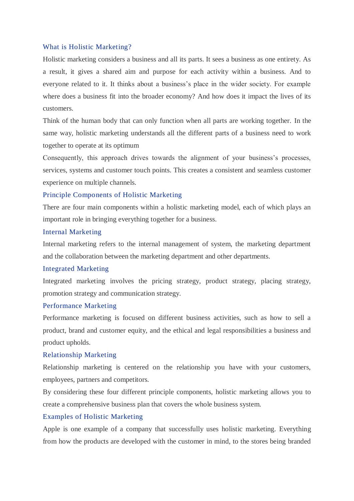#### What is Holistic Marketing?

Holistic marketing considers a business and all its parts. It sees a business as one entirety. As a result, it gives a shared aim and purpose for each activity within a business. And to everyone related to it. It thinks about a business's place in the wider society. For example where does a business fit into the broader economy? And how does it impact the lives of its customers.

Think of the human body that can only function when all parts are working together. In the same way, holistic marketing understands all the different parts of a business need to work together to operate at its optimum

Consequently, this approach drives towards the alignment of your business's processes, services, systems and customer touch points. This creates a consistent and seamless customer experience on multiple channels.

## Principle Components of Holistic Marketing

There are four main components within a holistic marketing model, each of which plays an important role in bringing everything together for a business.

# Internal Marketing

Internal marketing refers to the internal management of system, the marketing department and the collaboration between the marketing department and other departments.

#### Integrated Marketing

Integrated marketing involves the pricing strategy, product strategy, placing strategy, promotion strategy and communication strategy.

## Performance Marketing

Performance marketing is focused on different business activities, such as how to sell a product, brand and customer equity, and the ethical and legal responsibilities a business and product upholds.

# Relationship Marketing

Relationship marketing is centered on the relationship you have with your customers, employees, partners and competitors.

By considering these four different principle components, holistic marketing allows you to create a comprehensive business plan that covers the whole business system.

# Examples of Holistic Marketing

Apple is one example of a company that successfully uses holistic marketing. Everything from how the products are developed with the customer in mind, to the stores being branded